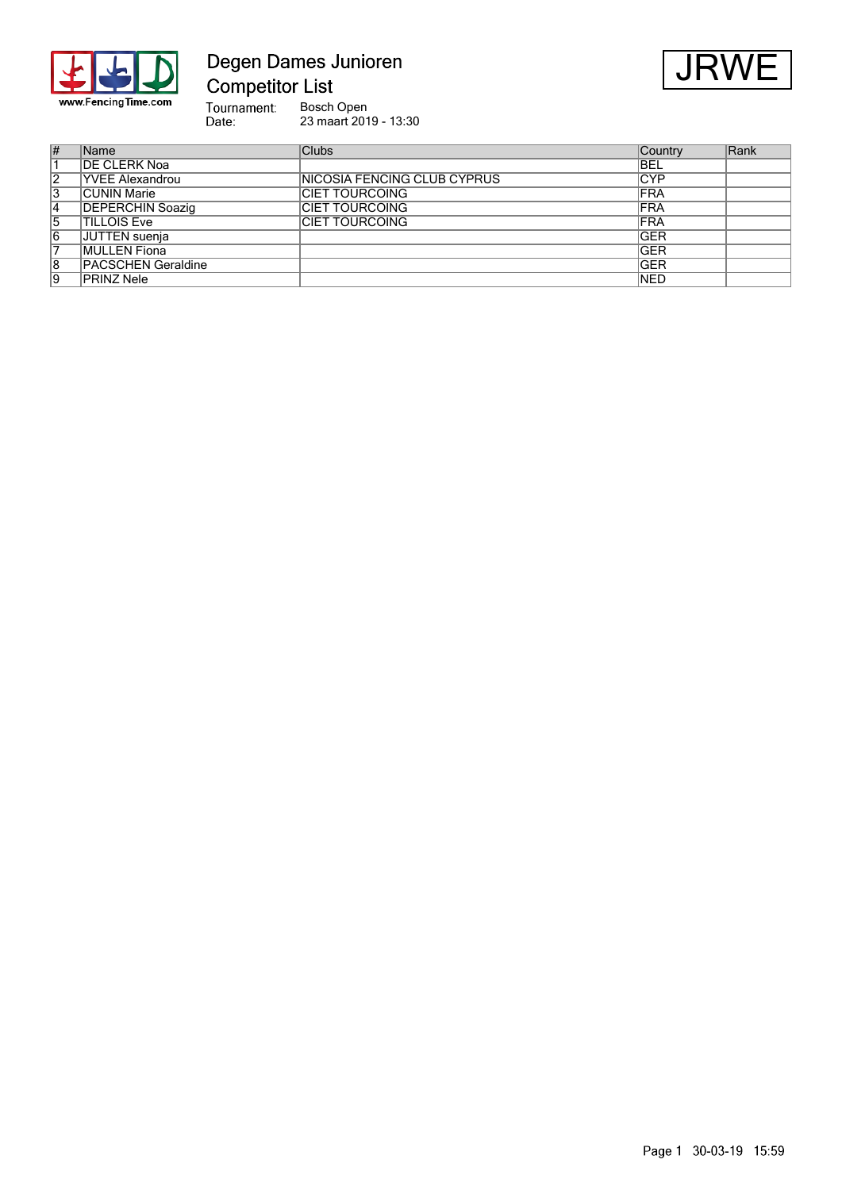

# Degen Dames Junioren **Competitor List**



Tournament:<br>Date: Bosch Open<br>23 maart 2019 - 13:30

| #              | Name                      | <b>Clubs</b>                 | Country     | Rank |
|----------------|---------------------------|------------------------------|-------------|------|
|                | <b>DE CLERK Noa</b>       |                              | <b>BEL</b>  |      |
| 2              | <b>YVEE Alexandrou</b>    | INICOSIA FENCING CLUB CYPRUS | CYP         |      |
| 3              | CUNIN Marie               | ICIET TOURCOING              | <b>IFRA</b> |      |
| $\overline{4}$ | <b>DEPERCHIN Soazig</b>   | <b>ICIET TOURCOING</b>       | <b>FRA</b>  |      |
| 5              | <b>TILLOIS Eve</b>        | <b>ICIET TOURCOING</b>       | <b>FRA</b>  |      |
| 6              | JUTTEN suenja             |                              | <b>GER</b>  |      |
|                | MULLEN Fiona              |                              | <b>IGER</b> |      |
| 8              | <b>PACSCHEN Geraldine</b> |                              | <b>IGER</b> |      |
| 9              | PRINZ Nele                |                              | <b>NED</b>  |      |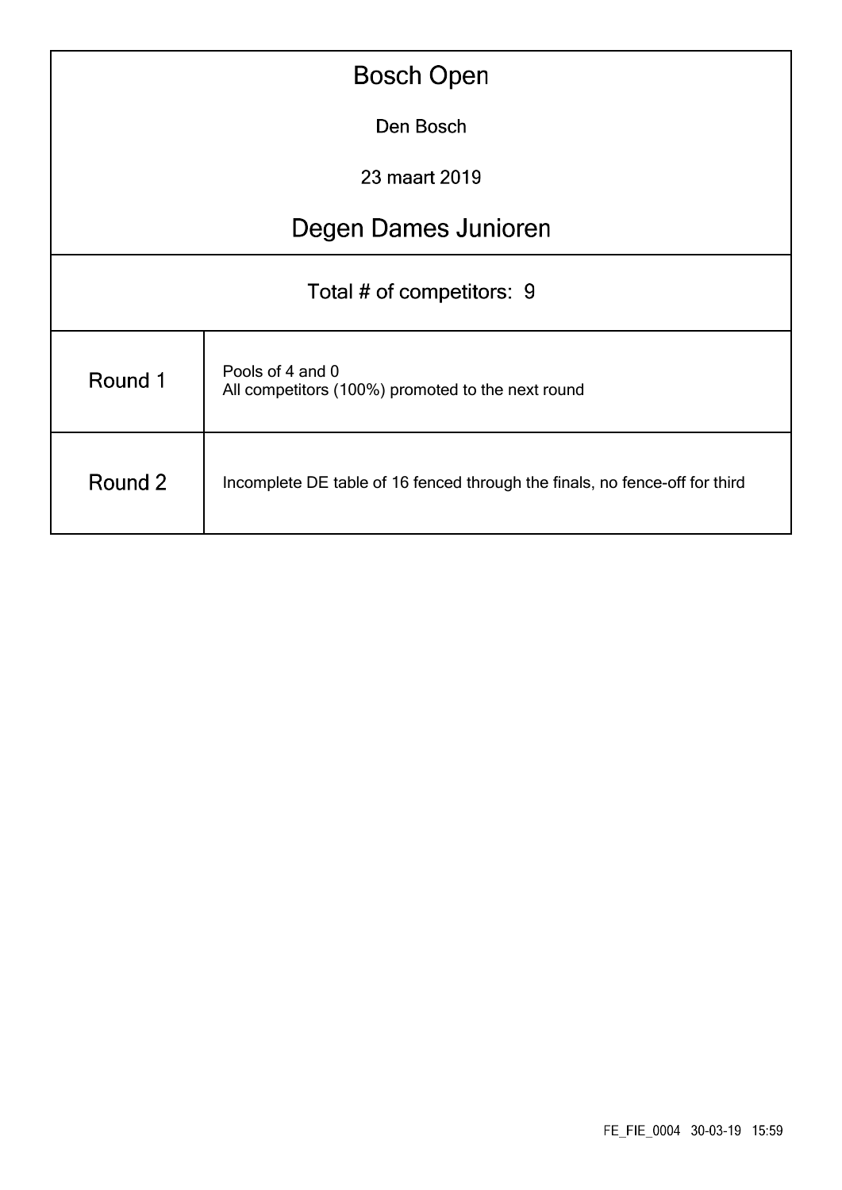| <b>Bosch Open</b>         |                                                                             |  |  |  |  |  |  |
|---------------------------|-----------------------------------------------------------------------------|--|--|--|--|--|--|
| Den Bosch                 |                                                                             |  |  |  |  |  |  |
| 23 maart 2019             |                                                                             |  |  |  |  |  |  |
| Degen Dames Junioren      |                                                                             |  |  |  |  |  |  |
| Total # of competitors: 9 |                                                                             |  |  |  |  |  |  |
| Round 1                   | Pools of 4 and 0<br>All competitors (100%) promoted to the next round       |  |  |  |  |  |  |
| Round 2                   | Incomplete DE table of 16 fenced through the finals, no fence-off for third |  |  |  |  |  |  |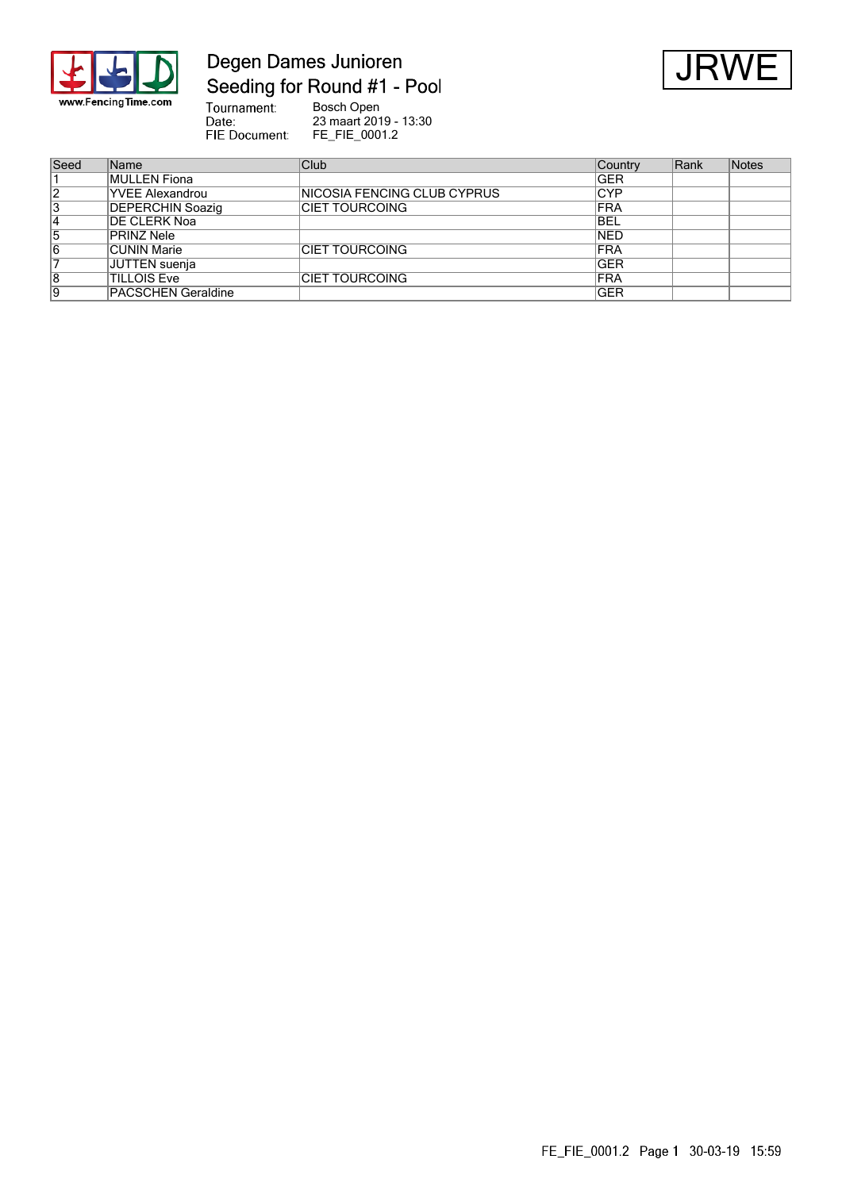

# Degen Dames Junioren Seeding for Round #1 - Pool



Tournament:<br>Date:<br>FIE Document: Bosch Open<br>23 maart 2019 - 13:30<br>FE\_FIE\_0001.2

| Seed           | <b>Name</b>               | Club                         | Country     | Rank | Notes |
|----------------|---------------------------|------------------------------|-------------|------|-------|
|                | <b>MULLEN Fiona</b>       |                              | <b>GER</b>  |      |       |
| $\overline{2}$ | <b>YVEE Alexandrou</b>    | INICOSIA FENCING CLUB CYPRUS | ∣CYP        |      |       |
| 3              | <b>DEPERCHIN Soazig</b>   | ICIET TOURCOING              | <b>FRA</b>  |      |       |
| 14             | <b>DE CLERK Noa</b>       |                              | <b>BEL</b>  |      |       |
| 5              | <b>PRINZ Nele</b>         |                              | <b>NED</b>  |      |       |
| 6              | <b>CUNIN Marie</b>        | <b>CIET TOURCOING</b>        | <b>FRA</b>  |      |       |
|                | JUTTEN suenja             |                              | <b>GER</b>  |      |       |
| 8              | <b>TILLOIS Eve</b>        | <b>CIET TOURCOING</b>        | <b>FRA</b>  |      |       |
| 9              | <b>PACSCHEN Geraldine</b> |                              | <b>IGER</b> |      |       |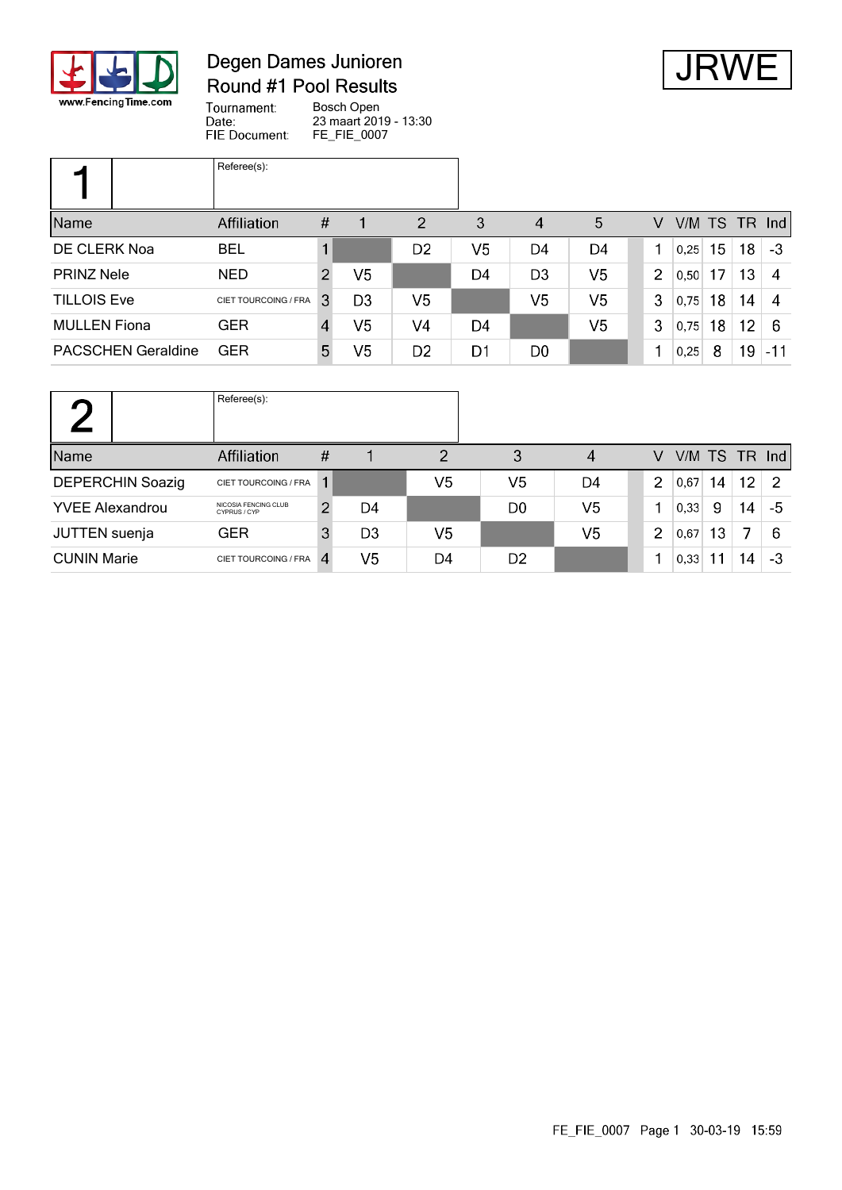

#### Degen Dames Junioren Round #1 Pool Results



Tournament: Bosch Open 23 maart 2019 - 13:30<br>FE\_FIE\_0007 Date: FIE Document:

|                           | Referee(s):          |                  |                |                |    |                |                |                |      |    |    |               |
|---------------------------|----------------------|------------------|----------------|----------------|----|----------------|----------------|----------------|------|----|----|---------------|
| Name                      | Affiliation          | $\#$             |                | $\overline{2}$ | 3  | 4              | 5              | V              |      |    |    | V/M TS TR Ind |
| DE CLERK Noa              | <b>BEL</b>           |                  |                | D2             | V5 | D4             | D4             |                | 0,25 | 15 | 18 | -3            |
| <b>PRINZ Nele</b>         | <b>NED</b>           | 2                | V <sub>5</sub> |                | D4 | D <sub>3</sub> | V <sub>5</sub> | $\overline{2}$ | 0.50 | 17 | 13 | 4             |
| <b>TILLOIS Eve</b>        | CIET TOURCOING / FRA | 3                | D <sub>3</sub> | V5             |    | V <sub>5</sub> | V <sub>5</sub> | 3              | 0,75 | 18 | 14 | 4             |
| <b>MULLEN</b> Fiona       | <b>GER</b>           | $\boldsymbol{A}$ | V5             | V <sub>4</sub> | D4 |                | V <sub>5</sub> | 3              | 0,75 | 18 | 12 | 6             |
| <b>PACSCHEN Geraldine</b> | <b>GER</b>           | 5                | V5             | D2             | D1 | D <sub>0</sub> |                |                | 0,25 | 8  | 19 | $-11$         |

|                         | Referee(s):                          |               |                |    |                |                |                |      |    |    |                 |
|-------------------------|--------------------------------------|---------------|----------------|----|----------------|----------------|----------------|------|----|----|-----------------|
| Name                    | Affiliation                          | #             |                | 2  | 3              | 4              | v              |      |    |    | $V/M$ TS TR Ind |
| <b>DEPERCHIN Soazig</b> | CIET TOURCOING / FRA                 |               |                | V5 | V5             | D4             | 2              | 0,67 | 14 | 12 | -2              |
| <b>YVEE Alexandrou</b>  | NICOSIA FENCING CLUB<br>CYPRUS / CYP | $\mathcal{P}$ | D <sub>4</sub> |    | D <sub>0</sub> | V <sub>5</sub> |                | 0,33 | 9  | 14 | -5              |
| JUTTEN suenja           | <b>GER</b>                           | 3             | D <sub>3</sub> | V5 |                | V <sub>5</sub> | $\overline{2}$ | 0,67 | 13 | 7  | -6              |
| <b>CUNIN Marie</b>      | CIET TOURCOING / FRA                 |               | V <sub>5</sub> | D4 | D <sub>2</sub> |                |                | 0,33 |    | 14 | -3              |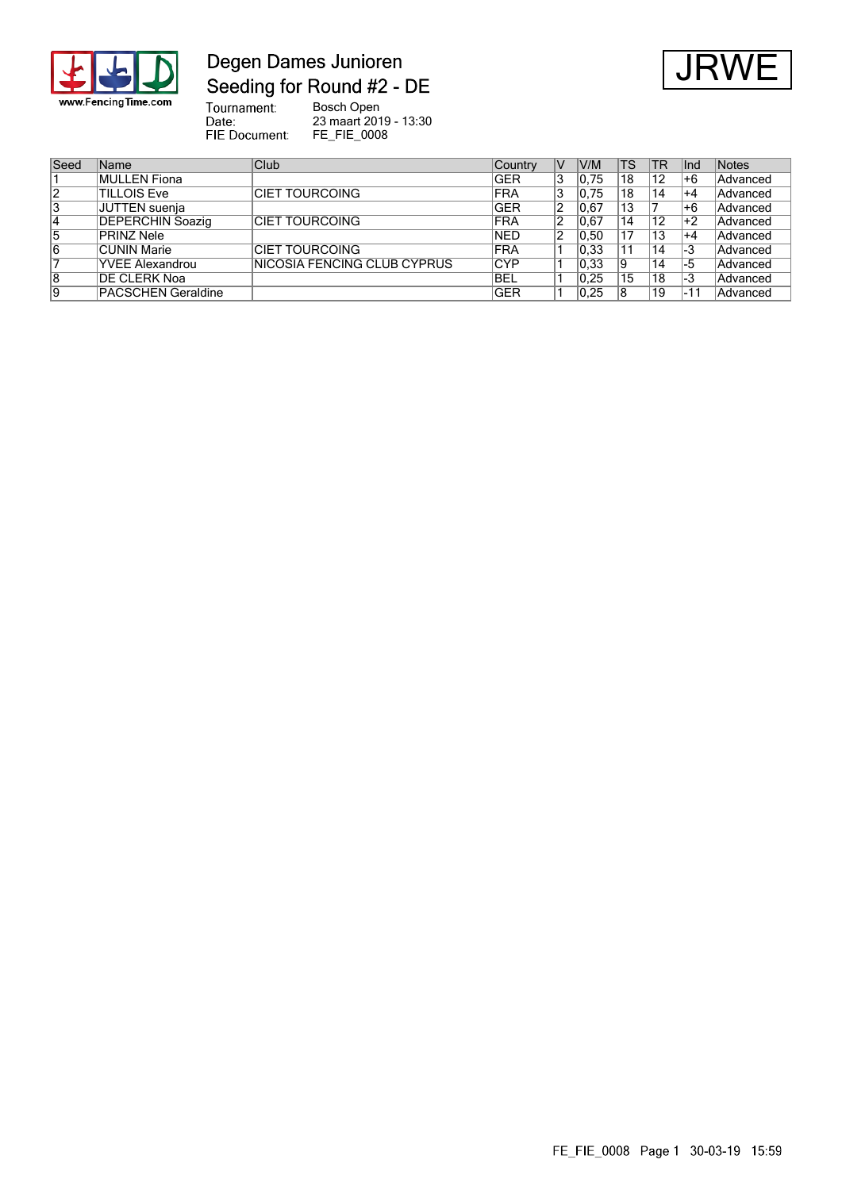

### Degen Dames Junioren Seeding for Round #2 - DE



Tournament:<br>Date:<br>FIE Document: Bosch Open 23 maart 2019 - 13:30 FE\_FIE\_0008

| Seed           | Name                      | Club                                | Country    | V | V/M  | TS | `TR | llnd | Notes    |
|----------------|---------------------------|-------------------------------------|------------|---|------|----|-----|------|----------|
|                | MULLEN Fiona              |                                     | <b>GER</b> | 3 | 0.75 | 18 | 12  | l+6  | Advanced |
| $\overline{2}$ | <b>TILLOIS Eve</b>        | <b>ICIET TOURCOING</b>              | <b>FRA</b> | 3 | 0.75 | 18 | 14  | ∣+4  | Advanced |
| 3              | JUTTEN suenja             |                                     | <b>GER</b> | 2 | 0.67 | 13 |     | +6   | Advanced |
| 14             | <b>DEPERCHIN Soazig</b>   | <b>CIET TOURCOING</b>               | <b>FRA</b> |   | 0.67 | 14 | 12  | ∣+2  | Advanced |
| 5              | PRINZ Nele                |                                     | <b>NED</b> | 2 | 0,50 | 17 | 13  | $+4$ | Advanced |
| 16             | <b>CUNIN Marie</b>        | <b>ICIET TOURCOING</b>              | <b>FRA</b> |   | 0,33 | 11 | 14  | 1-3  | Advanced |
|                | <b>YVEE Alexandrou</b>    | <b>INICOSIA FENCING CLUB CYPRUS</b> | <b>CYP</b> |   | 0.33 | 19 | 14  | -5   | Advanced |
| $\overline{8}$ | <b>DE CLERK Noa</b>       |                                     | <b>BEL</b> |   | 0.25 | 15 | 18  | -3   | Advanced |
| 19             | <b>PACSCHEN Geraldine</b> |                                     | <b>GER</b> |   | 0.25 | 18 | 19  | -11  | Advanced |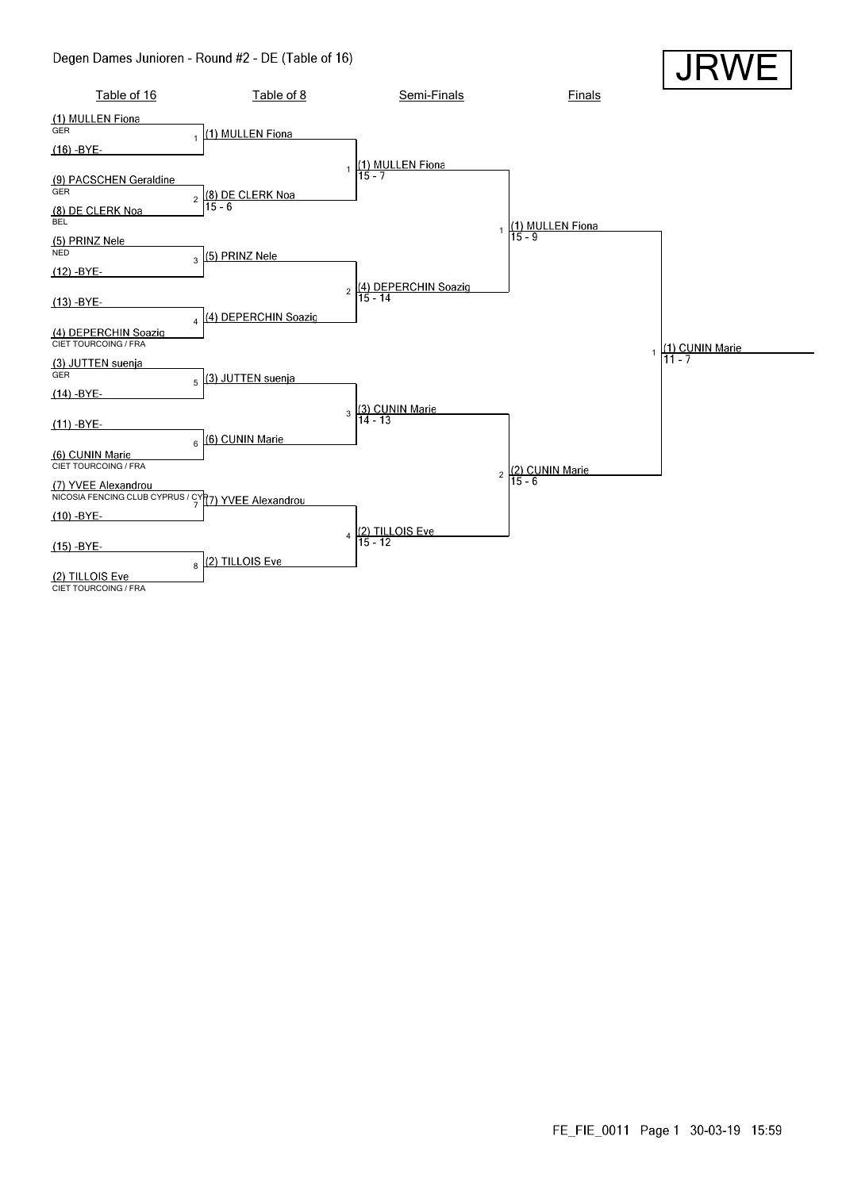#### Degen Dames Junioren - Round #2 - DE (Table of 16)

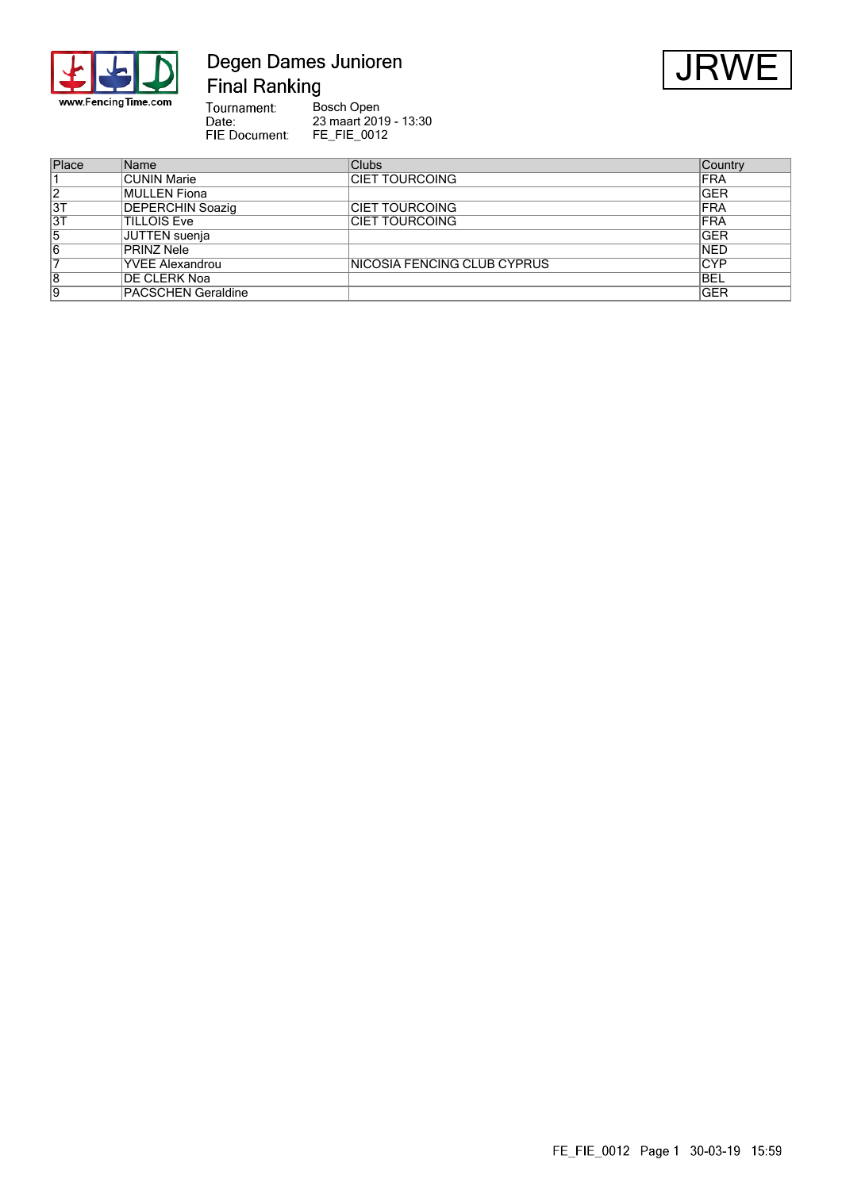

# Degen Dames Junioren **Final Ranking**



Tournament:<br>Date:<br>FIE Document: Bosch Open<br>23 maart 2019 - 13:30<br>FE\_FIE\_0012

| Place          | Name                      | <b>Clubs</b>                 | Country     |
|----------------|---------------------------|------------------------------|-------------|
|                | <b>CUNIN Marie</b>        | <b>CIET TOURCOING</b>        | <b>IFRA</b> |
| $\overline{2}$ | <b>MULLEN Fiona</b>       |                              | <b>GER</b>  |
| 3T             | <b>DEPERCHIN Soazig</b>   | <b>ICIET TOURCOING</b>       | <b>IFRA</b> |
| 3T             | <b>TILLOIS Eve</b>        | ICIET TOURCOING              | <b>IFRA</b> |
| 5              | JUTTEN suenja             |                              | <b>IGER</b> |
| 16             | <b>PRINZ Nele</b>         |                              | <b>NED</b>  |
|                | <b>YVEE Alexandrou</b>    | INICOSIA FENCING CLUB CYPRUS | <b>CYP</b>  |
| 8              | <b>DE CLERK Noa</b>       |                              | <b>BEL</b>  |
| Ι9             | <b>PACSCHEN Geraldine</b> |                              | <b>GER</b>  |